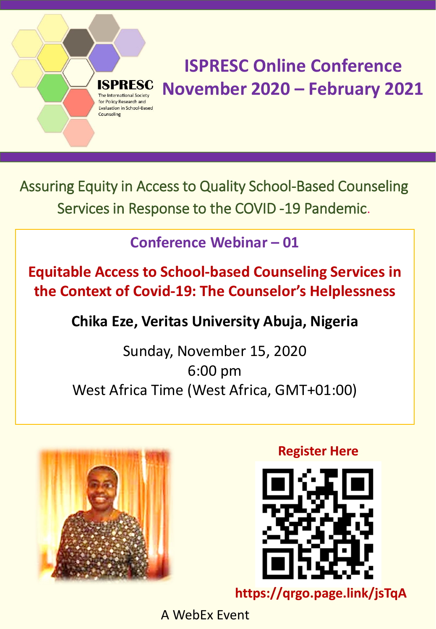Assuring Equity in Access to Quality School-Based Counseling Services in Response to the COVID -19 Pandemic.

**Conference Webinar – 01** 

**Equitable Access to School-based Counseling Services in the Context of Covid-19: The Counselor's Helplessness**

**Chika Eze, Veritas University Abuja, Nigeria** 

Sunday, November 15, 2020 6:00 pm West Africa Time (West Africa, GMT+01:00)



The International Society for Policy Research and **Evaluation in School-Based** 

Counseling

**Register Here** 



**https://qrgo.page.link/jsTqA**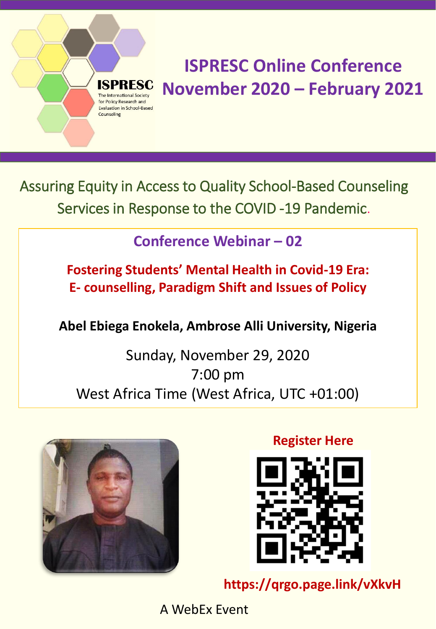Assuring Equity in Access to Quality School-Based Counseling Services in Response to the COVID -19 Pandemic.

### **Conference Webinar – 02**

**Fostering Students' Mental Health in Covid-19 Era: E- counselling, Paradigm Shift and Issues of Policy** 

### **Abel Ebiega Enokela, Ambrose Alli University, Nigeria**

### Sunday, November 29, 2020 7:00 pm West Africa Time (West Africa, UTC +01:00)



he International Society for Policy Research and **Evaluation in School-Based** 

Counseling

**Register Here** 



**https://qrgo.page.link/vXkvH**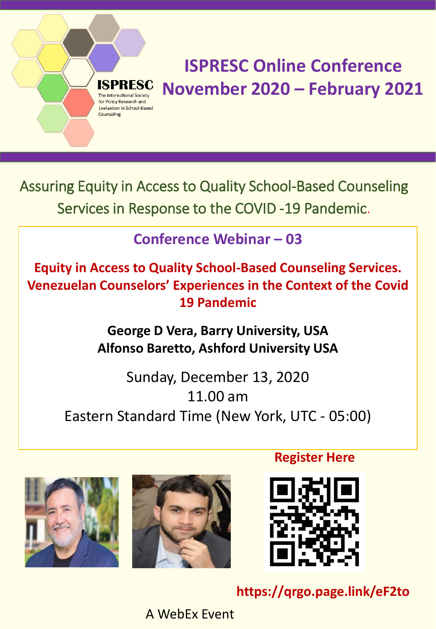Assuring Equity in Access to Quality School-Based Counseling Services in Response to the COVID -19 Pandemic.

The International Society for Policy Research and **Evaluation in School-Based** 

Counseling

### **Conference Webinar – 03**

**Equity in Access to Quality School-Based Counseling Services. Venezuelan Counselors' Experiences in the Context of the Covid 19 Pandemic**

> **George D Vera, Barry University, USA Alfonso Baretto, Ashford University USA**

Sunday, December 13, 2020 11.00 am Eastern Standard Time (New York, UTC - 05:00)





**Register Here** 



**https://qrgo.page.link/eF2to**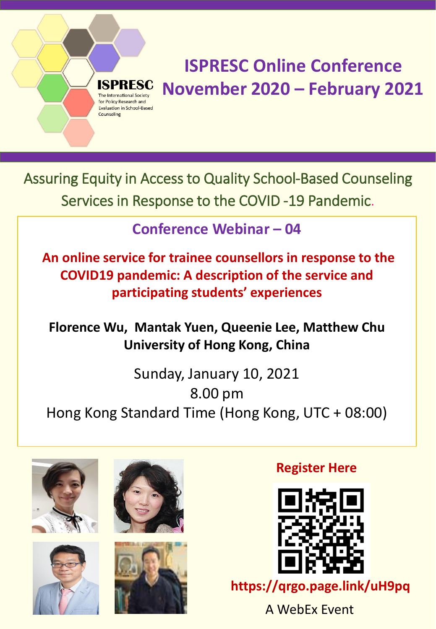Assuring Equity in Access to Quality School-Based Counseling Services in Response to the COVID -19 Pandemic.

**Conference Webinar – 04** 

**An online service for trainee counsellors in response to the COVID19 pandemic: A description of the service and participating students' experiences** 

**Florence Wu, Mantak Yuen, Queenie Lee, Matthew Chu University of Hong Kong, China**

Sunday, January 10, 2021 8.00 pm Hong Kong Standard Time (Hong Kong, UTC + 08:00)







International Society for Policy Research and **Evaluation in School-Based** 

Counseling



### **Register Here**



**https://qrgo.page.link/uH9pq**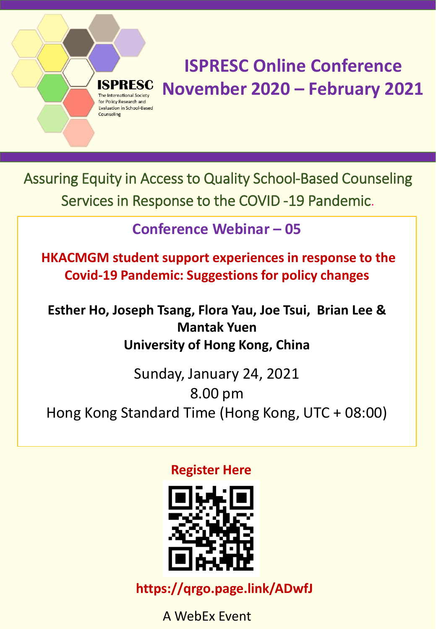Assuring Equity in Access to Quality School-Based Counseling Services in Response to the COVID -19 Pandemic.

**Iternational Society** for Policy Research and **Evaluation in School-Based** 

Counseling

**Conference Webinar – 05** 

**HKACMGM student support experiences in response to the Covid-19 Pandemic: Suggestions for policy changes** 

**Esther Ho, Joseph Tsang, Flora Yau, Joe Tsui, Brian Lee & Mantak Yuen University of Hong Kong, China**

Sunday, January 24, 2021 8.00 pm Hong Kong Standard Time (Hong Kong, UTC + 08:00)

#### **Register Here**



**https://qrgo.page.link/ADwfJ**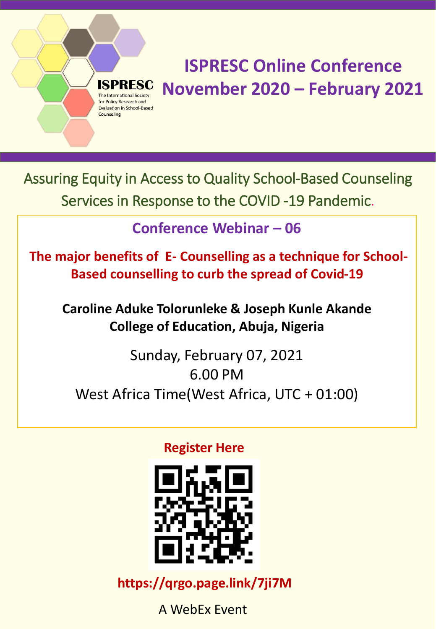Assuring Equity in Access to Quality School-Based Counseling Services in Response to the COVID -19 Pandemic.

nternational Society for Policy Research and **Evaluation in School-Based** 

Counseling

**Conference Webinar – 06** 

**The major benefits of E- Counselling as a technique for School-Based counselling to curb the spread of Covid-19** 

**Caroline Aduke Tolorunleke & Joseph Kunle Akande College of Education, Abuja, Nigeria**

Sunday, February 07, 2021 6.00 PM West Africa Time(West Africa, UTC + 01:00)

**Register Here** 



**https://qrgo.page.link/7ji7M**